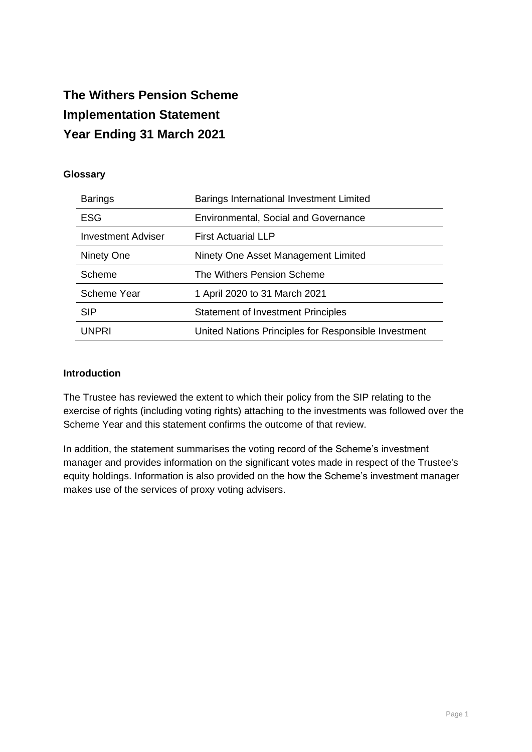# **The Withers Pension Scheme Implementation Statement Year Ending 31 March 2021**

### **Glossary**

| <b>Barings</b>            | Barings International Investment Limited             |
|---------------------------|------------------------------------------------------|
| <b>ESG</b>                | <b>Environmental, Social and Governance</b>          |
| <b>Investment Adviser</b> | <b>First Actuarial LLP</b>                           |
| Ninety One                | Ninety One Asset Management Limited                  |
| Scheme                    | The Withers Pension Scheme                           |
| Scheme Year               | 1 April 2020 to 31 March 2021                        |
| <b>SIP</b>                | <b>Statement of Investment Principles</b>            |
| UNPRI                     | United Nations Principles for Responsible Investment |

#### **Introduction**

The Trustee has reviewed the extent to which their policy from the SIP relating to the exercise of rights (including voting rights) attaching to the investments was followed over the Scheme Year and this statement confirms the outcome of that review.

In addition, the statement summarises the voting record of the Scheme's investment manager and provides information on the significant votes made in respect of the Trustee's equity holdings. Information is also provided on the how the Scheme's investment manager makes use of the services of proxy voting advisers.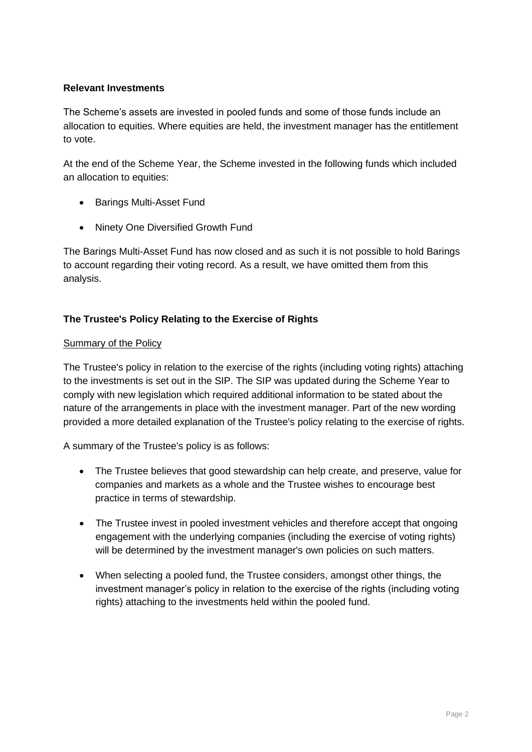## **Relevant Investments**

The Scheme's assets are invested in pooled funds and some of those funds include an allocation to equities. Where equities are held, the investment manager has the entitlement to vote.

At the end of the Scheme Year, the Scheme invested in the following funds which included an allocation to equities:

- Barings Multi-Asset Fund
- Ninety One Diversified Growth Fund

The Barings Multi-Asset Fund has now closed and as such it is not possible to hold Barings to account regarding their voting record. As a result, we have omitted them from this analysis.

# **The Trustee's Policy Relating to the Exercise of Rights**

### **Summary of the Policy**

The Trustee's policy in relation to the exercise of the rights (including voting rights) attaching to the investments is set out in the SIP. The SIP was updated during the Scheme Year to comply with new legislation which required additional information to be stated about the nature of the arrangements in place with the investment manager. Part of the new wording provided a more detailed explanation of the Trustee's policy relating to the exercise of rights.

A summary of the Trustee's policy is as follows:

- The Trustee believes that good stewardship can help create, and preserve, value for companies and markets as a whole and the Trustee wishes to encourage best practice in terms of stewardship.
- The Trustee invest in pooled investment vehicles and therefore accept that ongoing engagement with the underlying companies (including the exercise of voting rights) will be determined by the investment manager's own policies on such matters.
- When selecting a pooled fund, the Trustee considers, amongst other things, the investment manager's policy in relation to the exercise of the rights (including voting rights) attaching to the investments held within the pooled fund.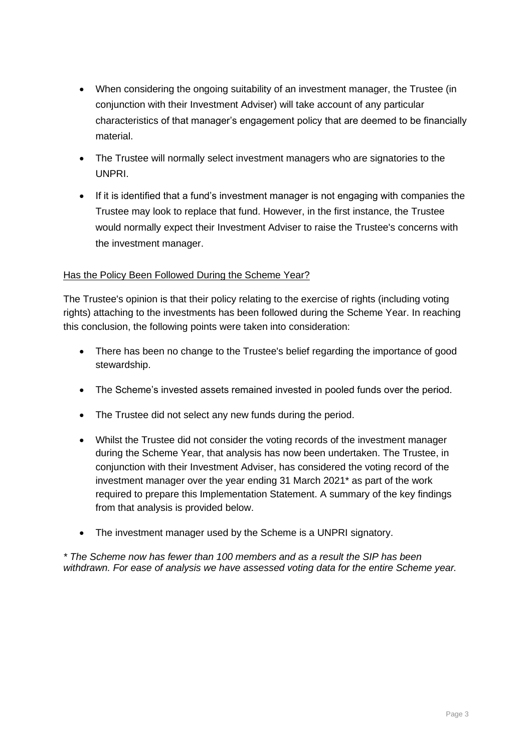- When considering the ongoing suitability of an investment manager, the Trustee (in conjunction with their Investment Adviser) will take account of any particular characteristics of that manager's engagement policy that are deemed to be financially material.
- The Trustee will normally select investment managers who are signatories to the UNPRI.
- If it is identified that a fund's investment manager is not engaging with companies the Trustee may look to replace that fund. However, in the first instance, the Trustee would normally expect their Investment Adviser to raise the Trustee's concerns with the investment manager.

### Has the Policy Been Followed During the Scheme Year?

The Trustee's opinion is that their policy relating to the exercise of rights (including voting rights) attaching to the investments has been followed during the Scheme Year. In reaching this conclusion, the following points were taken into consideration:

- There has been no change to the Trustee's belief regarding the importance of good stewardship.
- The Scheme's invested assets remained invested in pooled funds over the period.
- The Trustee did not select any new funds during the period.
- Whilst the Trustee did not consider the voting records of the investment manager during the Scheme Year, that analysis has now been undertaken. The Trustee, in conjunction with their Investment Adviser, has considered the voting record of the investment manager over the year ending 31 March 2021\* as part of the work required to prepare this Implementation Statement. A summary of the key findings from that analysis is provided below.
- The investment manager used by the Scheme is a UNPRI signatory.

*\* The Scheme now has fewer than 100 members and as a result the SIP has been withdrawn. For ease of analysis we have assessed voting data for the entire Scheme year.*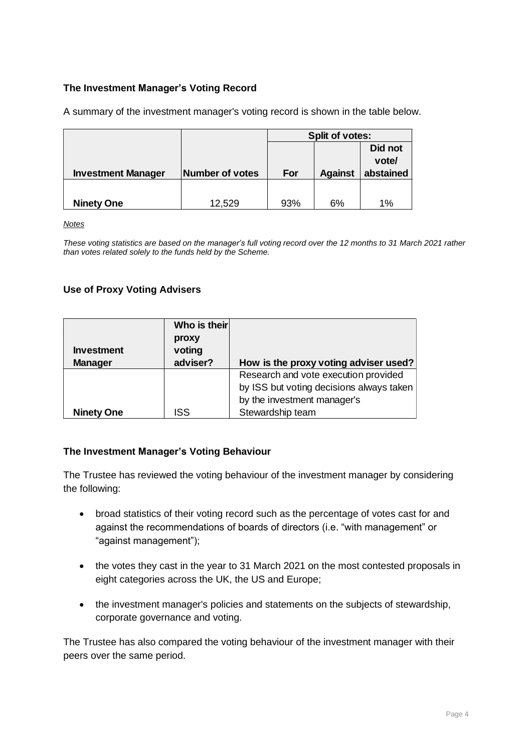# **The Investment Manager's Voting Record**

A summary of the investment manager's voting record is shown in the table below.

|                           |                 | Split of votes: |           |         |  |
|---------------------------|-----------------|-----------------|-----------|---------|--|
|                           |                 |                 |           | Did not |  |
|                           |                 |                 |           | vote/   |  |
| <b>Investment Manager</b> | Number of votes | For             | abstained |         |  |
|                           |                 |                 |           |         |  |
| <b>Ninety One</b>         | 12,529          | 93%             | 6%        | 1%      |  |

*Notes*

*These voting statistics are based on the manager's full voting record over the 12 months to 31 March 2021 rather than votes related solely to the funds held by the Scheme.*

# **Use of Proxy Voting Advisers**

|                   | Who is their |                                          |
|-------------------|--------------|------------------------------------------|
|                   | proxy        |                                          |
| <b>Investment</b> | voting       |                                          |
| <b>Manager</b>    | adviser?     | How is the proxy voting adviser used?    |
|                   |              | Research and vote execution provided     |
|                   |              | by ISS but voting decisions always taken |
|                   |              | by the investment manager's              |
| <b>Ninety One</b> | ISS          | Stewardship team                         |

#### **The Investment Manager's Voting Behaviour**

The Trustee has reviewed the voting behaviour of the investment manager by considering the following:

- broad statistics of their voting record such as the percentage of votes cast for and against the recommendations of boards of directors (i.e. "with management" or "against management");
- the votes they cast in the year to 31 March 2021 on the most contested proposals in eight categories across the UK, the US and Europe;
- the investment manager's policies and statements on the subjects of stewardship, corporate governance and voting.

The Trustee has also compared the voting behaviour of the investment manager with their peers over the same period.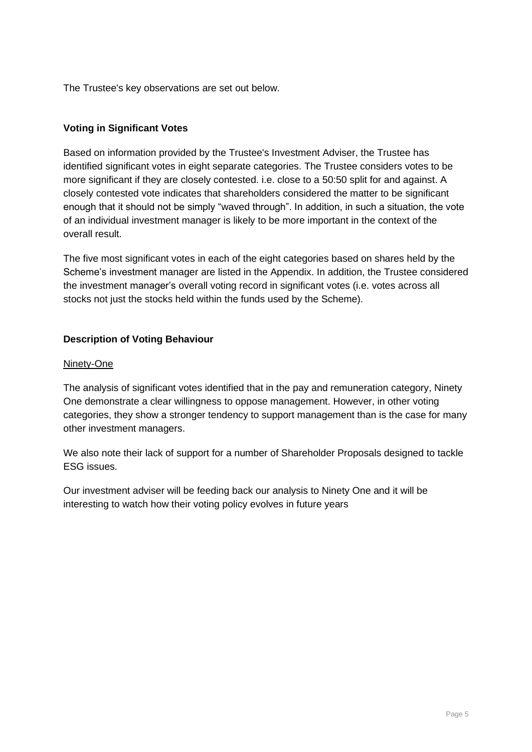The Trustee's key observations are set out below.

# **Voting in Significant Votes**

Based on information provided by the Trustee's Investment Adviser, the Trustee has identified significant votes in eight separate categories. The Trustee considers votes to be more significant if they are closely contested. i.e. close to a 50:50 split for and against. A closely contested vote indicates that shareholders considered the matter to be significant enough that it should not be simply "waved through". In addition, in such a situation, the vote of an individual investment manager is likely to be more important in the context of the overall result.

The five most significant votes in each of the eight categories based on shares held by the Scheme's investment manager are listed in the Appendix. In addition, the Trustee considered the investment manager's overall voting record in significant votes (i.e. votes across all stocks not just the stocks held within the funds used by the Scheme).

# **Description of Voting Behaviour**

#### Ninety-One

The analysis of significant votes identified that in the pay and remuneration category, Ninety One demonstrate a clear willingness to oppose management. However, in other voting categories, they show a stronger tendency to support management than is the case for many other investment managers.

We also note their lack of support for a number of Shareholder Proposals designed to tackle ESG issues.

Our investment adviser will be feeding back our analysis to Ninety One and it will be interesting to watch how their voting policy evolves in future years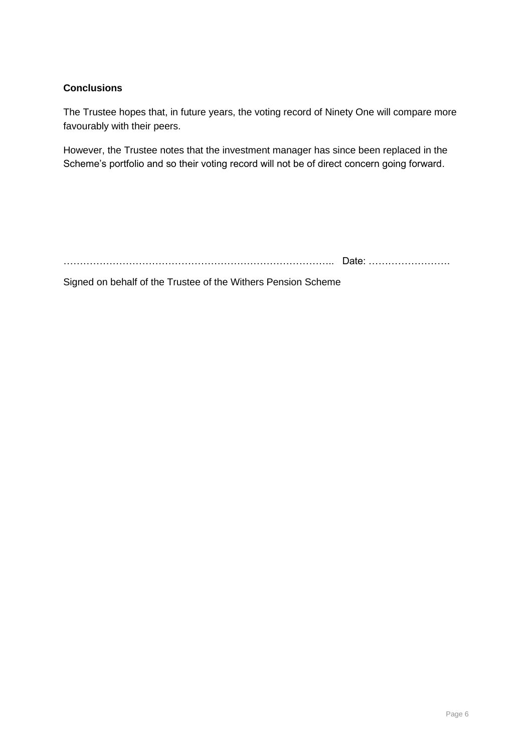# **Conclusions**

The Trustee hopes that, in future years, the voting record of Ninety One will compare more favourably with their peers.

However, the Trustee notes that the investment manager has since been replaced in the Scheme's portfolio and so their voting record will not be of direct concern going forward.

……………………………………………………………………….. Date: …………………….

Signed on behalf of the Trustee of the Withers Pension Scheme